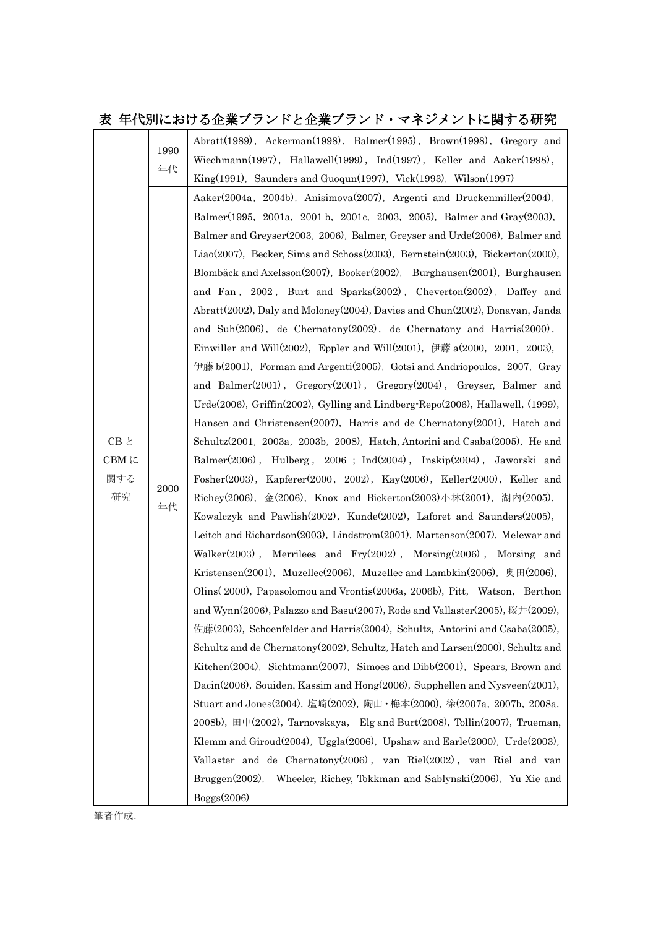## 表 年代別における企業ブランドと企業ブランド・マネジメントに関する研究

| $\mathrm{CB}\ \ensuremath{\mathsf{E}}$<br>CBMに<br>関する<br>研究 | 1990<br>年代 | Abratt(1989), Ackerman(1998), Balmer(1995), Brown(1998), Gregory and                    |
|-------------------------------------------------------------|------------|-----------------------------------------------------------------------------------------|
|                                                             |            | Wiechmann(1997), Hallawell(1999), Ind(1997), Keller and Aaker(1998),                    |
|                                                             |            | $King(1991)$ , Saunders and Guoqun(1997), Vick(1993), Wilson(1997)                      |
|                                                             | 2000<br>年代 | Aaker(2004a, 2004b), Anisimova(2007), Argenti and Druckenmiller(2004),                  |
|                                                             |            | Balmer(1995, 2001a, 2001b, 2001c, 2003, 2005), Balmer and Gray(2003),                   |
|                                                             |            | Balmer and Greyser(2003, 2006), Balmer, Greyser and Urde(2006), Balmer and              |
|                                                             |            | Liao(2007), Becker, Sims and Schoss(2003), Bernstein(2003), Bickerton(2000),            |
|                                                             |            | Blombäck and Axelsson(2007), Booker(2002), Burghausen(2001), Burghausen                 |
|                                                             |            | and Fan, 2002, Burt and Sparks(2002), Cheverton(2002), Daffey and                       |
|                                                             |            | Abratt(2002), Daly and Moloney(2004), Davies and Chun(2002), Donavan, Janda             |
|                                                             |            | and Suh(2006), de Chernatony(2002), de Chernatony and Harris(2000),                     |
|                                                             |            | Einwiller and Will(2002), Eppler and Will(2001), 伊藤 $a(2000, 2001, 2003)$ ,             |
|                                                             |            | 伊藤 b(2001), Forman and Argenti(2005), Gotsi and Andriopoulos, 2007, Gray                |
|                                                             |            | and Balmer(2001), Gregory(2001), Gregory(2004), Greyser, Balmer and                     |
|                                                             |            | Urde(2006), Griffin(2002), Gylling and Lindberg Repo(2006), Hallawell, (1999),          |
|                                                             |            | Hansen and Christensen(2007), Harris and de Chernatony(2001), Hatch and                 |
|                                                             |            | Schultz(2001, 2003a, 2003b, 2008), Hatch, Antorini and Csaba(2005), He and              |
|                                                             |            | Balmer(2006), Hulberg, 2006; Ind(2004), Inskip(2004), Jaworski and                      |
|                                                             |            | Fosher(2003), Kapferer(2000, 2002), Kay(2006), Keller(2000), Keller and                 |
|                                                             |            | Richey(2006), 金(2006), Knox and Bickerton(2003)小林(2001), 湖内(2005),                      |
|                                                             |            | Kowalczyk and Pawlish(2002), Kunde(2002), Laforet and Saunders(2005),                   |
|                                                             |            | Leitch and Richardson(2003), Lindstrom(2001), Martenson(2007), Melewar and              |
|                                                             |            | Walker(2003), Merrilees and Fry(2002), Morsing(2006), Morsing and                       |
|                                                             |            | Kristensen(2001), Muzellec(2006), Muzellec and Lambkin(2006), 奥田(2006),                 |
|                                                             |            | Olins (2000), Papasolomou and Vrontis (2006a, 2006b), Pitt, Watson, Berthon             |
|                                                             |            | and Wynn(2006), Palazzo and Basu(2007), Rode and Vallaster(2005), 桜井(2009),             |
|                                                             |            | 佐藤(2003), Schoenfelder and Harris(2004), Schultz, Antorini and Csaba(2005),             |
|                                                             |            | Schultz and de Chernatony(2002), Schultz, Hatch and Larsen(2000), Schultz and           |
|                                                             |            | Kitchen(2004), Sichtmann(2007), Simoes and Dibb(2001), Spears, Brown and                |
|                                                             |            | Dacin(2006), Souiden, Kassim and Hong(2006), Supphellen and Nysveen(2001),              |
|                                                             |            | Stuart and Jones(2004), 塩崎(2002), 陶山・梅本(2000), 徐(2007a, 2007b, 2008a,                   |
|                                                             |            | $2008b$ , 田中 $(2002)$ , Tarnovskaya, Elg and Burt $(2008)$ , Tollin $(2007)$ , Trueman, |
|                                                             |            | Klemm and Giroud(2004), Uggla(2006), Upshaw and Earle(2000), Urde(2003),                |
|                                                             |            | Vallaster and de Chernatony(2006), van Riel(2002), van Riel and van                     |
|                                                             |            | Bruggen(2002),<br>Wheeler, Richey, Tokkman and Sablynski(2006), Yu Xie and              |
|                                                             |            | Boggs(2006)                                                                             |

筆者作成.